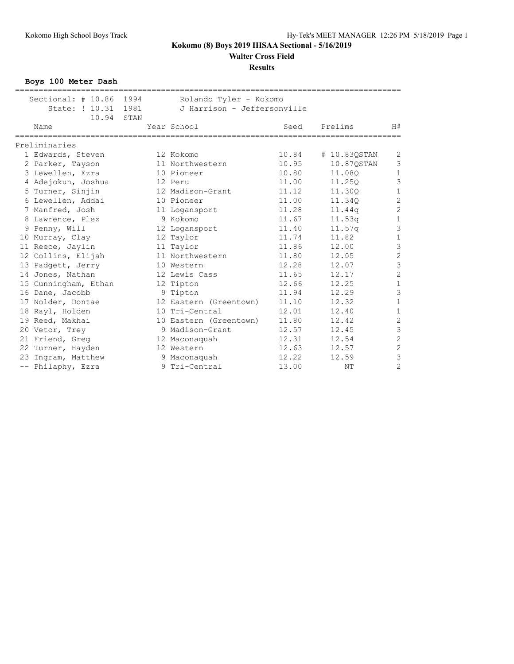**Walter Cross Field**

**Results**

**Boys 100 Meter Dash**

| =================================                            |  |                                                       |       | ================================= |                |
|--------------------------------------------------------------|--|-------------------------------------------------------|-------|-----------------------------------|----------------|
| Sectional: # 10.86 1994<br>State: ! 10.31 1981<br>10.94 STAN |  | Rolando Tyler - Kokomo<br>J Harrison - Jeffersonville |       |                                   |                |
| Name                                                         |  | Year School                                           | Seed  | Prelims                           | H#             |
| Preliminaries                                                |  |                                                       |       |                                   |                |
| 1 Edwards, Steven                                            |  | 12 Kokomo                                             | 10.84 | # 10.830STAN                      | $\overline{c}$ |
| 2 Parker, Tayson                                             |  | 11 Northwestern                                       | 10.95 | 10.87QSTAN                        | 3              |
| 3 Lewellen, Ezra                                             |  | 10 Pioneer                                            | 10.80 | 11,080                            | $\mathbf{1}$   |
| 4 Adejokun, Joshua                                           |  | 12 Peru                                               | 11.00 | 11,250                            | 3              |
| 5 Turner, Sinjin                                             |  | 12 Madison-Grant                                      | 11.12 | 11.30Q                            | $\mathbf{1}$   |
| 6 Lewellen, Addai                                            |  | 10 Pioneer                                            | 11.00 | 11.340                            | $\overline{c}$ |
| 7 Manfred, Josh                                              |  | 11 Logansport                                         | 11.28 | 11.44q                            | $\overline{c}$ |
| 8 Lawrence, Plez                                             |  | 9 Kokomo                                              | 11.67 | 11.53q                            | 1              |
| 9 Penny, Will                                                |  | 12 Logansport                                         | 11.40 | 11.57q                            | 3              |
| 10 Murray, Clay                                              |  | 12 Taylor                                             | 11.74 | 11.82                             | $\mathbf{1}$   |
| 11 Reece, Jaylin                                             |  | 11 Taylor                                             | 11.86 | 12.00                             | $\overline{3}$ |
| 12 Collins, Elijah                                           |  | 11 Northwestern                                       | 11.80 | 12.05                             | $\overline{c}$ |
| 13 Padgett, Jerry                                            |  | 10 Western                                            | 12.28 | 12.07                             | 3              |
| 14 Jones, Nathan                                             |  | 12 Lewis Cass                                         | 11.65 | 12.17                             | $\overline{c}$ |
| 15 Cunningham, Ethan                                         |  | 12 Tipton                                             | 12.66 | 12.25                             | $\mathbf{1}$   |
| 16 Dane, Jacobb                                              |  | 9 Tipton                                              | 11.94 | 12.29                             | $\overline{3}$ |
| 17 Nolder, Dontae                                            |  | 12 Eastern (Greentown)                                | 11.10 | 12.32                             | 1              |
| 18 Rayl, Holden                                              |  | 10 Tri-Central                                        | 12.01 | 12.40                             | $\mathbf{1}$   |
| 19 Reed, Makhai                                              |  | 10 Eastern (Greentown)                                | 11.80 | 12.42                             | $\overline{c}$ |
| 20 Vetor, Trey                                               |  | 9 Madison-Grant                                       | 12.57 | 12.45                             | $\overline{3}$ |
| 21 Friend, Greg                                              |  | 12 Maconaquah                                         | 12.31 | 12.54                             | $\overline{c}$ |
| 22 Turner, Hayden                                            |  | 12 Western                                            | 12.63 | 12.57                             | $\overline{c}$ |
| 23 Ingram, Matthew                                           |  | 9 Maconaquah                                          | 12.22 | 12.59                             | 3              |
| -- Philaphy, Ezra                                            |  | 9 Tri-Central                                         | 13.00 | NΤ                                | $\overline{c}$ |
|                                                              |  |                                                       |       |                                   |                |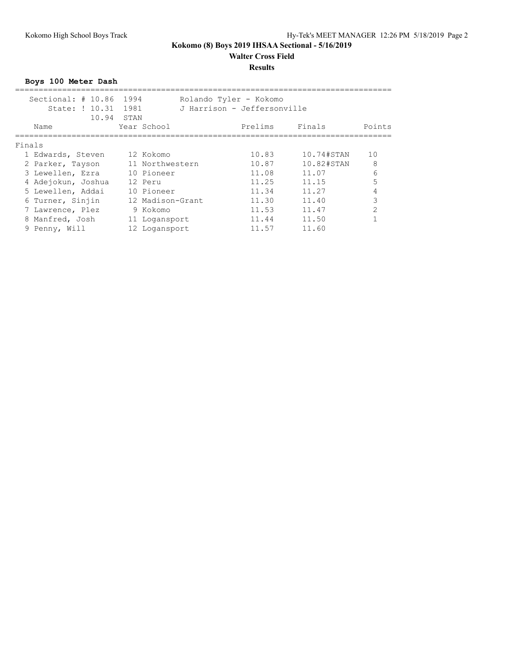# **Walter Cross Field**

### **Results**

**Boys 100 Meter Dash**

|        | Sectional: $\#$ 10.86<br>State: ! 10.31<br>10.94 | 1994<br>1981<br>STAN |                  | Rolando Tyler - Kokomo<br>J Harrison - Jeffersonville |                       |                |
|--------|--------------------------------------------------|----------------------|------------------|-------------------------------------------------------|-----------------------|----------------|
|        | Name                                             | Year School          |                  | Prelims                                               | Finals                | Points         |
| Finals |                                                  |                      |                  |                                                       |                       |                |
|        | 1 Edwards, Steven                                | 12 Kokomo            |                  | 10.83                                                 | $10.74 \text{\#STAN}$ | 10             |
|        | 2 Parker, Tayson                                 |                      | 11 Northwestern  | 10.87                                                 | 10.82#STAN            | 8              |
|        | 3 Lewellen, Ezra                                 | 10 Pioneer           |                  | 11.08                                                 | 11.07                 | 6              |
|        | 4 Adejokun, Joshua                               | 12 Peru              |                  | 11.25                                                 | 11.15                 | 5              |
|        | 5 Lewellen, Addai                                | 10 Pioneer           |                  | 11.34                                                 | 11.27                 |                |
|        | 6 Turner, Sinjin                                 |                      | 12 Madison-Grant | 11.30                                                 | 11.40                 | 3              |
|        | 7 Lawrence, Plez                                 | 9 Kokomo             |                  | 11.53                                                 | 11.47                 | $\mathfrak{D}$ |
|        | 8 Manfred, Josh                                  | 11 Logansport        |                  | 11.44                                                 | 11.50                 |                |
|        | 9 Penny, Will                                    | 12 Logansport        |                  | 11.57                                                 | 11.60                 |                |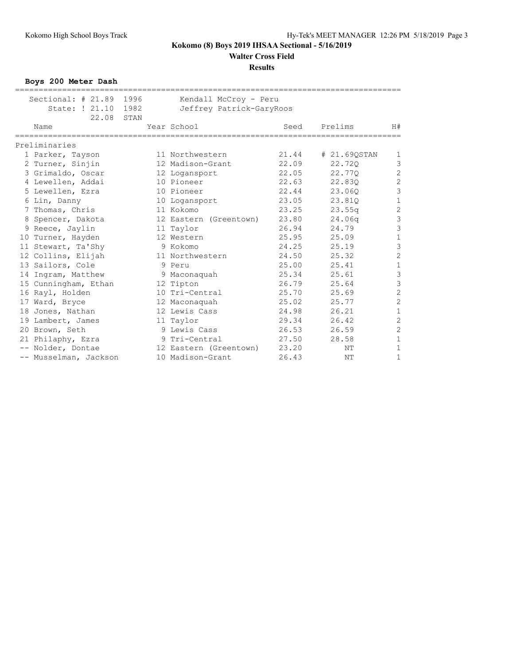**Walter Cross Field**

#### **Results**

**Boys 200 Meter Dash**

| Sectional: # 21.89 1996<br>State: ! 21.10 | 1982 | Kendall McCroy - Peru    |       |                    |                         |
|-------------------------------------------|------|--------------------------|-------|--------------------|-------------------------|
| 22.08                                     | STAN | Jeffrey Patrick-GaryRoos |       |                    |                         |
| Name                                      |      | Year School              | Seed  | Prelims            | H#                      |
| Preliminaries                             |      |                          |       |                    |                         |
| 1 Parker, Tayson                          |      | 11 Northwestern          | 21.44 | # 21.69QSTAN       | 1                       |
| 2 Turner, Sinjin                          |      | 12 Madison-Grant         | 22.09 | 22.720             | 3                       |
| 3 Grimaldo, Oscar                         |      | 12 Logansport            | 22.05 | 22.770             | $\overline{c}$          |
| 4 Lewellen, Addai                         |      | 10 Pioneer               | 22.63 | 22.830             | $\overline{c}$          |
| 5 Lewellen, Ezra                          |      | 10 Pioneer               | 22.44 | 23.060             | 3                       |
| 6 Lin, Danny                              |      | 10 Logansport            | 23.05 | 23.810             | $\mathbf{1}$            |
| 7 Thomas, Chris                           |      | 11 Kokomo                | 23.25 | 23.55q             | $\overline{c}$          |
| 8 Spencer, Dakota                         |      | 12 Eastern (Greentown)   | 23.80 | 24.06 <sub>q</sub> | 3                       |
| 9 Reece, Jaylin                           |      | 11 Taylor                | 26.94 | 24.79              | $\overline{\mathbf{3}}$ |
| 10 Turner, Hayden                         |      | 12 Western               | 25.95 | 25.09              | $\mathbf 1$             |
| 11 Stewart, Ta'Shy                        |      | 9 Kokomo                 | 24.25 | 25.19              | 3                       |
| 12 Collins, Elijah                        |      | 11 Northwestern          | 24.50 | 25.32              | $\overline{c}$          |
| 13 Sailors, Cole                          |      | 9 Peru                   | 25.00 | 25.41              | $\,1\,$                 |
| 14 Ingram, Matthew                        |      | 9 Maconaquah             | 25.34 | 25.61              | 3                       |
| 15 Cunningham, Ethan                      |      | 12 Tipton                | 26.79 | 25.64              | $\mathfrak{Z}$          |
| 16 Rayl, Holden                           |      | 10 Tri-Central           | 25.70 | 25.69              | $\overline{c}$          |
| 17 Ward, Bryce                            |      | 12 Maconaquah            | 25.02 | 25.77              | $\overline{c}$          |
| 18 Jones, Nathan                          |      | 12 Lewis Cass            | 24.98 | 26.21              | $\mathbf 1$             |
| 19 Lambert, James                         |      | 11 Taylor                | 29.34 | 26.42              | $\overline{c}$          |
| 20 Brown, Seth                            |      | 9 Lewis Cass             | 26.53 | 26.59              | $\overline{c}$          |
| 21 Philaphy, Ezra                         |      | 9 Tri-Central            | 27.50 | 28.58              | $\mathbf 1$             |
| -- Nolder, Dontae                         |      | 12 Eastern (Greentown)   | 23.20 | NΤ                 | $\mathbf{1}$            |
| -- Musselman, Jackson                     |      | 10 Madison-Grant         | 26.43 | NΤ                 | $\mathbf 1$             |
|                                           |      |                          |       |                    |                         |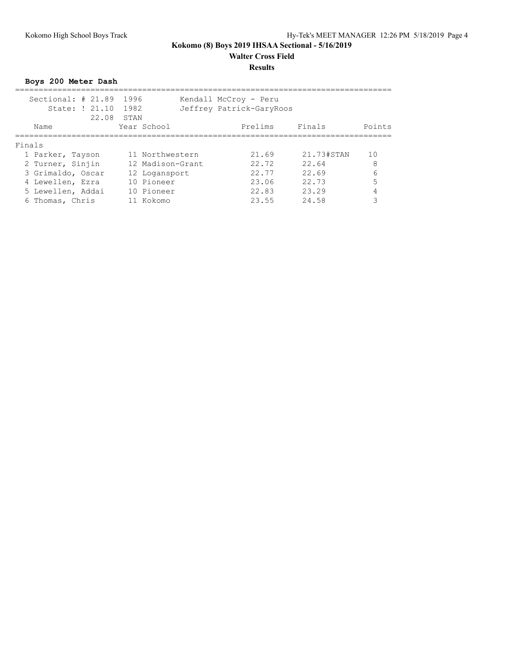# **Walter Cross Field**

## **Results**

**Boys 200 Meter Dash** ================================================================================ Sectional: # 21.89 1996 Kendall McCroy - Peru State: ! 21.10 1982 Jeffrey Patrick-GaryRoos 22.08 STAN Name Year School Prelims Finals Points ================================================================================ Finals 1 Parker, Tayson 11 Northwestern 21.69 21.73#STAN 10 2 Turner, Sinjin 12 Madison-Grant 22.72 22.64 8 3 Grimaldo, Oscar 12 Logansport 22.77 22.69 6 4 Lewellen, Ezra 10 Pioneer 23.06 22.73 5 5 Lewellen, Addai 10 Pioneer 22.83 23.29 4

6 Thomas, Chris 11 Kokomo 23.55 24.58 3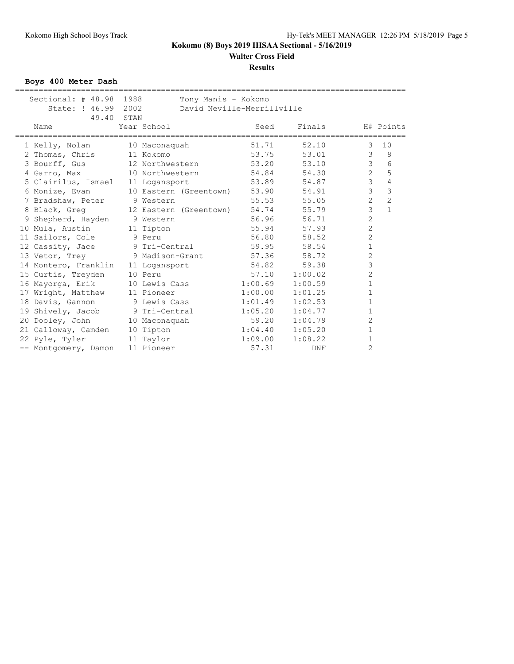## **Walter Cross Field**

#### **Results**

**Boys 400 Meter Dash**

| Sectional: $#48.98$               | 1988<br>Tony Manis - Kokomo          |                            |         |                                |
|-----------------------------------|--------------------------------------|----------------------------|---------|--------------------------------|
| State: ! 46.99 2002               |                                      | David Neville-Merrillville |         |                                |
| 49.40                             | STAN                                 |                            |         |                                |
| Name                              | Year School                          | Seed                       | Finals  | H# Points                      |
| 1 Kelly, Nolan                    | 10 Maconaquah                        | 51.71                      | 52.10   | 10<br>3                        |
| 2 Thomas, Chris                   | 11 Kokomo                            | 53.75                      | 53.01   | 8<br>3                         |
| 3 Bourff, Gus                     | 12 Northwestern                      | 53.20                      | 53.10   | 3<br>6                         |
| 4 Garro, Max                      | 10 Northwestern                      | 54.84                      | 54.30   | $\overline{2}$<br>5            |
| 5 Clairilus, Ismael 11 Logansport |                                      | 53.89                      | 54.87   | $\mathfrak{Z}$<br>4            |
| 6 Monize, Evan                    | 10 Eastern (Greentown) 53.90         |                            | 54.91   | $\mathfrak{Z}$<br>3            |
| 7 Bradshaw, Peter 9 Western       |                                      | 55.53                      | 55.05   | $\overline{c}$<br>2            |
|                                   | 8 Black, Greq 12 Eastern (Greentown) | 54.74                      | 55.79   | $\mathfrak{Z}$<br>$\mathbf{1}$ |
| 9 Shepherd, Hayden 9 Western      |                                      | 56.96                      | 56.71   | $\overline{2}$                 |
| 10 Mula, Austin                   | 11 Tipton                            | 55.94                      | 57.93   | $\overline{c}$                 |
| 11 Sailors, Cole                  | 9 Peru                               | 56.80                      | 58.52   | $\overline{c}$                 |
| 12 Cassity, Jace 9 Tri-Central    |                                      | 59.95                      | 58.54   | $\mathbf 1$                    |
| 13 Vetor, Trey 9 Madison-Grant    |                                      | 57.36                      | 58.72   | $\overline{c}$                 |
| 14 Montero, Franklin              | 11 Logansport                        | 54.82                      | 59.38   | 3                              |
| 15 Curtis, Treyden                | 10 Peru                              | 57.10                      | 1:00.02 | $\overline{2}$                 |
| 16 Mayorga, Erik                  | 10 Lewis Cass                        | 1:00.69                    | 1:00.59 | $\mathbf 1$                    |
| 17 Wright, Matthew                | 11 Pioneer                           | 1:00.00                    | 1:01.25 | $\mathbf 1$                    |
| 18 Davis, Gannon                  | 9 Lewis Cass                         | 1:01.49                    | 1:02.53 | $\mathbf{1}$                   |
| 19 Shively, Jacob 9 Tri-Central   |                                      | 1:05.20                    | 1:04.77 | $\mathbf{1}$                   |
| 20 Dooley, John                   | 10 Maconaquah                        | 59.20                      | 1:04.79 | $\overline{c}$                 |
| 21 Calloway, Camden               | 10 Tipton                            | 1:04.40                    | 1:05.20 | $\mathbf 1$                    |
| 22 Pyle, Tyler                    | 11 Taylor                            | 1:09.00                    | 1:08.22 | $\mathbf 1$                    |
| -- Montgomery, Damon              | 11 Pioneer                           | 57.31                      | DNF     | $\overline{2}$                 |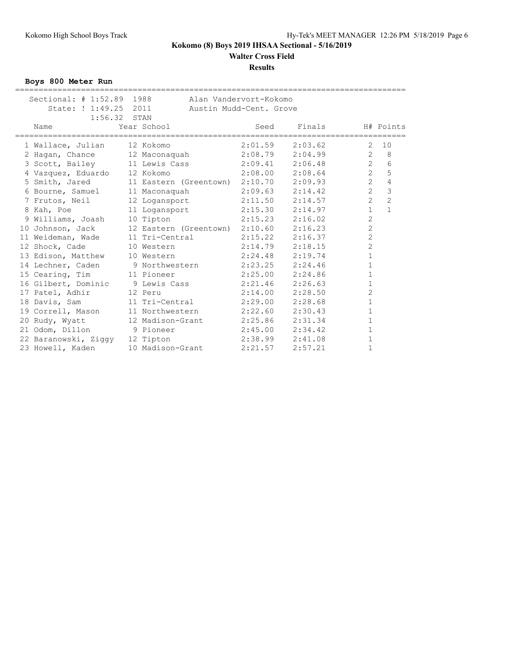# **Walter Cross Field**

#### **Results**

**Boys 800 Meter Run**

| Sectional: # 1:52.89 1988<br>State: ! 1:49.25 | 2011                                          | Alan Vandervort-Kokomo<br>Austin Mudd-Cent. Grove |         |                |                |
|-----------------------------------------------|-----------------------------------------------|---------------------------------------------------|---------|----------------|----------------|
| 1:56.32<br>Name                               | STAN<br>Year School                           | Seed                                              | Finals  |                | H# Points      |
| 1 Wallace, Julian                             | 12 Kokomo                                     | 2:01.59                                           | 2:03.62 | $\overline{2}$ | 10             |
| 2 Hagan, Chance                               | 12 Maconaquah                                 | 2:08.79                                           | 2:04.99 | $\overline{2}$ | 8              |
| 3 Scott, Bailey                               | 11 Lewis Cass                                 | 2:09.41                                           | 2:06.48 | $\overline{2}$ | 6              |
| 4 Vazquez, Eduardo                            | 12 Kokomo                                     | 2:08.00                                           | 2:08.64 | $\overline{2}$ | 5              |
|                                               | 5 Smith, Jared 11 Eastern (Greentown) 2:10.70 |                                                   | 2:09.93 | $\overline{2}$ | 4              |
| 6 Bourne, Samuel                              | 11 Maconaquah                                 | 2:09.63                                           | 2:14.42 | $\overline{2}$ | 3              |
| 7 Frutos, Neil                                | 12 Logansport                                 | 2:11.50                                           | 2:14.57 | $\overline{2}$ | $\overline{c}$ |
| 8 Kah, Poe                                    | 11 Logansport                                 | 2:15.30                                           | 2:14.97 | $\mathbf{1}$   | $\mathbf{1}$   |
| 9 Williams, Joash                             | 10 Tipton                                     | 2:15.23                                           | 2:16.02 | $\overline{2}$ |                |
| 10 Johnson, Jack                              | 12 Eastern (Greentown) 2:10.60                |                                                   | 2:16.23 | $\overline{c}$ |                |
| 11 Weideman, Wade                             | 11 Tri-Central                                | 2:15.22                                           | 2:16.37 | $\overline{c}$ |                |
| 12 Shock, Cade                                | 10 Western                                    | 2:14.79                                           | 2:18.15 | $\overline{c}$ |                |
| 13 Edison, Matthew                            | 10 Western                                    | 2:24.48                                           | 2:19.74 | $\mathbf{1}$   |                |
| 14 Lechner, Caden                             | 9 Northwestern                                | 2:23.25                                           | 2:24.46 | $\mathbf{1}$   |                |
| 15 Cearing, Tim 11 Pioneer                    |                                               | 2:25.00                                           | 2:24.86 | $\mathbf 1$    |                |
| 16 Gilbert, Dominic 9 Lewis Cass              |                                               | 2:21.46                                           | 2:26.63 | $\mathbf{1}$   |                |
| 17 Patel, Adhir                               | 12 Peru                                       | 2:14.00                                           | 2:28.50 | $\overline{c}$ |                |
| 18 Davis, Sam                                 | 11 Tri-Central                                | 2:29.00                                           | 2:28.68 | $\mathbf 1$    |                |
| 19 Correll, Mason                             | 11 Northwestern                               | 2:22.60                                           | 2:30.43 | $\mathbf 1$    |                |
| 20 Rudy, Wyatt                                | 12 Madison-Grant                              | 2:25.86                                           | 2:31.34 | $\mathbf 1$    |                |
| 21 Odom, Dillon                               | 9 Pioneer                                     | 2:45.00                                           | 2:34.42 | $\mathbf{1}$   |                |
| 22 Baranowski, Ziggy                          | 12 Tipton                                     | 2:38.99                                           | 2:41.08 | 1              |                |
| 23 Howell, Kaden                              | 10 Madison-Grant                              | 2:21.57                                           | 2:57.21 | $\mathbf{1}$   |                |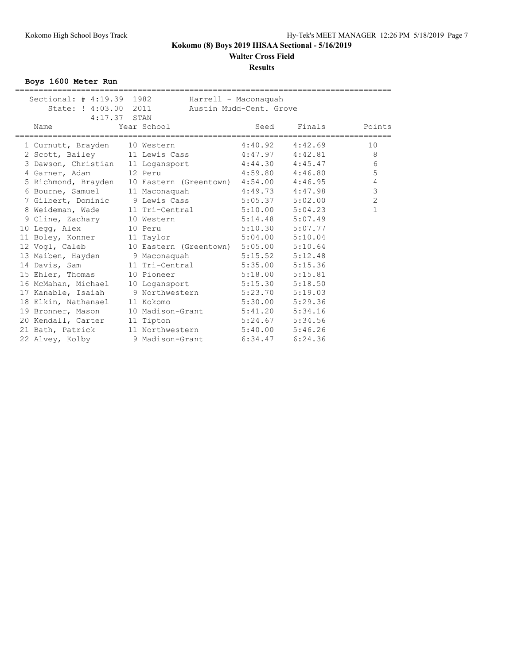**Walter Cross Field**

#### **Results**

**Boys 1600 Meter Run**

| Sectional: # 4:19.39 1982      |                                                            | Harrell - Maconaquah    |                     |                |
|--------------------------------|------------------------------------------------------------|-------------------------|---------------------|----------------|
| State: ! 4:03.00 2011          |                                                            | Austin Mudd-Cent. Grove |                     |                |
| $4:17.37$ STAN                 |                                                            |                         |                     |                |
| Name                           | Year School                                                | Seed                    | Finals              | Points         |
|                                |                                                            |                         |                     |                |
| 1 Curnutt, Brayden 10 Western  |                                                            | 4:40.92                 | 4:42.69             | 10             |
|                                | 2 Scott, Bailey 11 Lewis Cass 4:47.97 4:42.81              |                         |                     | 8              |
|                                | 3 Dawson, Christian 11 Logansport 4:44.30 4:45.47          |                         |                     | 6              |
| 4 Garner, Adam                 | 12 Peru                                                    |                         | $4:59.80$ $4:46.80$ | 5              |
|                                | 5 Richmond, Brayden 10 Eastern (Greentown) 4:54.00 4:46.95 |                         |                     | $\overline{4}$ |
| 6 Bourne, Samuel               | 11 Maconaquah                                              | $4:49.73$ $4:47.98$     |                     | $\overline{3}$ |
|                                | 7 Gilbert, Dominic 9 Lewis Cass 5:05.37 5:02.00            |                         |                     | $\overline{c}$ |
|                                | 8 Weideman, Wade 11 Tri-Central 5:10.00 5:04.23            |                         |                     | $\mathbf{1}$   |
| 9 Cline, Zachary               | 10 Western 5:14.48                                         |                         | 5:07.49             |                |
| 10 Legg, Alex                  | 10 Peru                                                    | $5:10.30$ $5:07.77$     |                     |                |
| 11 Boley, Konner               | 11 Taylor                                                  | $5:04.00$ $5:10.04$     |                     |                |
| 12 Vogl, Caleb                 | 10 Eastern (Greentown) 5:05.00                             |                         | 5:10.64             |                |
| 13 Maiben, Hayden 9 Maconaquah |                                                            | $5:15.52$ $5:12.48$     |                     |                |
| 14 Davis, Sam                  | 11 Tri-Central                                             | 5:35.00                 | 5:15.36             |                |
| 15 Ehler, Thomas               | 10 Pioneer 5:18.00                                         |                         | 5:15.81             |                |
| 16 McMahan, Michael            | 10 Logansport 5:15.30                                      |                         | 5:18.50             |                |
| 17 Kanable, Isaiah             | 9 Northwestern                                             | 5:23.70                 | 5:19.03             |                |
| 18 Elkin, Nathanael            | 11 Kokomo                                                  | 5:30.00                 | 5:29.36             |                |
| 19 Bronner, Mason              | 10 Madison-Grant 5:41.20 5:34.16                           |                         |                     |                |
| 20 Kendall, Carter             | 11 Tipton                                                  | 5:24.67                 | 5:34.56             |                |
| 21 Bath, Patrick               | 11 Northwestern 5:40.00 5:46.26                            |                         |                     |                |
|                                | 22 Alvey, Kolby 9 Madison-Grant 6:34.47                    |                         | 6:24.36             |                |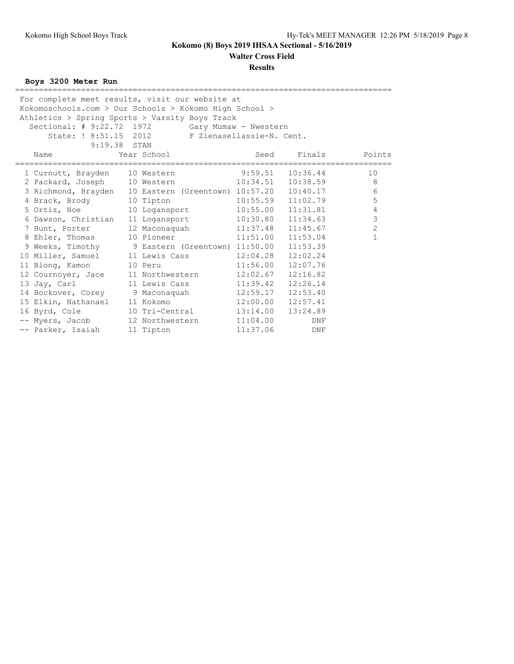**Walter Cross Field**

**Results**

## **Boys 3200 Meter Run**

|                               | For complete meet results, visit our website at              |          |          |                        |
|-------------------------------|--------------------------------------------------------------|----------|----------|------------------------|
|                               | Kokomoschools.com > Our Schools > Kokomo High School >       |          |          |                        |
|                               | Athletics > Spring Sports > Varsity Boys Track               |          |          |                        |
|                               | Sectional: # 9:22.72 1972 Gary Mumaw - Nwestern              |          |          |                        |
|                               | State: ! 8:51.15 2012 F Zienasellassie-N. Cent.              |          |          |                        |
| 9:19.38 STAN                  |                                                              |          |          |                        |
| Name                          | Year School                                                  | Seed     | Finals   | Points                 |
|                               | 1 Curnutt, Brayden 10 Western 9:59.51                        |          | 10:36.44 | ================<br>10 |
|                               | 2 Packard, Joseph 10 Western 10:34.51 10:38.59               |          |          | 8                      |
|                               | 3 Richmond, Brayden 10 Eastern (Greentown) 10:57.20 10:40.17 |          |          | 6                      |
| 4 Brack, Brody 10 Tipton      | 10:55.59                                                     |          | 11:02.79 | 5                      |
|                               | 5 Ortiz, Noe 10 Logansport 10:55.00                          |          | 11:31.81 | $\overline{4}$         |
| 6 Dawson, Christian           | 11 Logansport 10:30.80 11:34.63                              |          |          | $\mathfrak{Z}$         |
| 7 Hunt, Porter                | 12 Maconaquah 11:37.48                                       |          | 11:45.67 | $\overline{c}$         |
| 8 Ehler, Thomas               | 10 Pioneer 11:51.00                                          |          | 11:53.04 | $\mathbf{1}$           |
|                               | 9 Weeks, Timothy 9 Eastern (Greentown) 11:50.00              |          | 11:53.39 |                        |
|                               | 10 Miller, Samuel 11 Lewis Cass 12:04.28                     |          | 12:02.24 |                        |
| 11 Blong, Kamon               | 10 Peru                                                      | 11:56.00 | 12:07.76 |                        |
| 12 Cournoyer, Jace            | 11 Northwestern 12:02.67                                     |          | 12:16.82 |                        |
| 13 Jay, Carl                  | 11 Lewis Cass                                                | 11:39.42 | 12:26.14 |                        |
|                               | 14 Bockover, Corey 9 Maconaquah 12:59.17                     |          | 12:53.40 |                        |
| 15 Elkin, Nathanael 11 Kokomo |                                                              | 12:00.00 | 12:57.41 |                        |
| 16 Byrd, Cole                 | 10 Tri-Central 13:14.00                                      |          | 13:24.89 |                        |
| -- Myers, Jacob               | 12 Northwestern 11:04.00                                     |          | DNF      |                        |
| -- Parker, Isaiah             | 11 Tipton                                                    | 11:37.06 | DNF      |                        |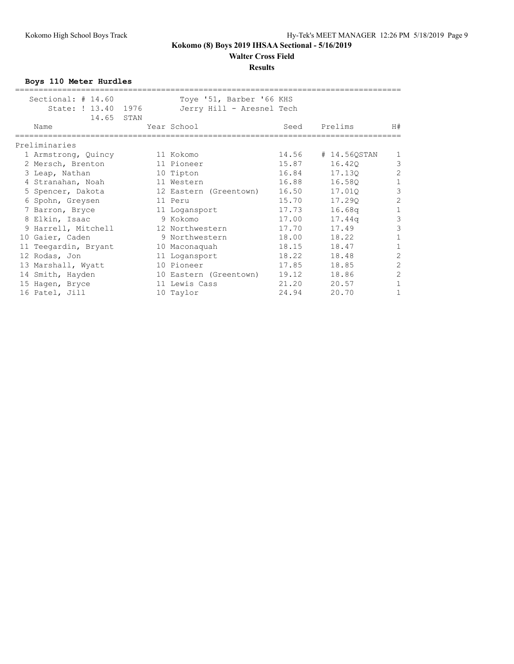**Walter Cross Field**

### **Results**

**Boys 110 Meter Hurdles**

| Sectional: $\#$ 14.60 | Toye '51, Barber '66 KHS  |       |                    |                |
|-----------------------|---------------------------|-------|--------------------|----------------|
| State: ! 13.40 1976   | Jerry Hill - Aresnel Tech |       |                    |                |
| 14.65 STAN            |                           |       |                    |                |
| Name                  | Year School               | Seed  | Prelims            | H#             |
|                       |                           |       |                    |                |
| Preliminaries         |                           |       |                    |                |
| 1 Armstrong, Quincy   | 11 Kokomo                 |       | 14.56 # 14.56QSTAN | 1              |
| 2 Mersch, Brenton     | 11 Pioneer                | 15.87 | 16.420             | 3              |
| 3 Leap, Nathan        | 10 Tipton                 | 16.84 | 17.130             | $\overline{c}$ |
| 4 Stranahan, Noah     | 11 Western                | 16.88 | 16.580             | $\overline{1}$ |
| 5 Spencer, Dakota     | 12 Eastern (Greentown)    | 16.50 | 17.01Q             | 3              |
| 6 Spohn, Greysen      | 11 Peru                   | 15.70 | 17.290             | $\overline{c}$ |
| 7 Barron, Bryce       | 11 Logansport             | 17.73 | 16.68q             | $\mathbf 1$    |
| 8 Elkin, Isaac        | 9 Kokomo                  | 17.00 | 17.44q             | $\overline{3}$ |
| 9 Harrell, Mitchell   | 12 Northwestern           | 17.70 | 17.49              | 3              |
| 10 Gaier, Caden       | 9 Northwestern            | 18.00 | 18.22              | $1\,$          |
| 11 Teegardin, Bryant  | 10 Maconaquah             | 18.15 | 18.47              | $\mathbf{1}$   |
| 12 Rodas, Jon         | 11 Logansport             | 18.22 | 18.48              | $\overline{c}$ |
| 13 Marshall, Wyatt    | 10 Pioneer                | 17.85 | 18.85              | $\overline{c}$ |
| 14 Smith, Hayden      | 10 Eastern (Greentown)    | 19.12 | 18.86              | $\overline{c}$ |
| 15 Hagen, Bryce       | 11 Lewis Cass             | 21.20 | 20.57              |                |
| 16 Patel, Jill        | 10 Taylor                 | 24.94 | 20.70              |                |
|                       |                           |       |                    |                |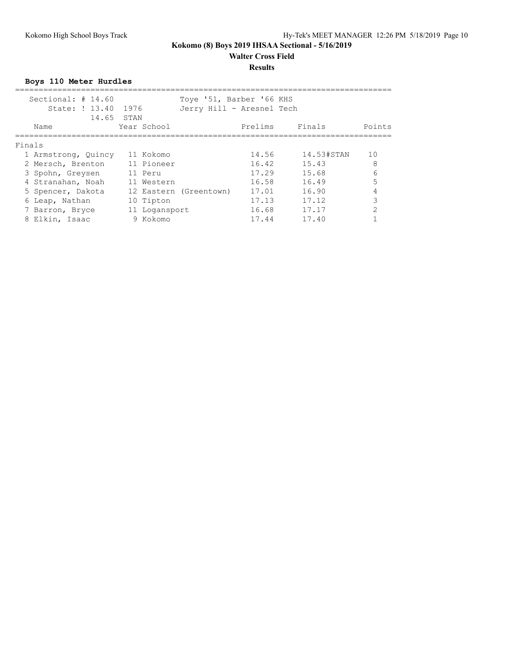#### **Results**

**Boys 110 Meter Hurdles**

|        | Sectional: $# 14.60$<br>State: ! 13.40 1976<br>14.65 STAN |               | Toye '51, Barber '66 KHS<br>Jerry Hill - Aresnel Tech |         |            |        |
|--------|-----------------------------------------------------------|---------------|-------------------------------------------------------|---------|------------|--------|
|        | Name                                                      | Year School   |                                                       | Prelims | Finals     | Points |
| Finals |                                                           |               |                                                       |         |            |        |
|        | 1 Armstrong, Quincy                                       | 11 Kokomo     |                                                       | 14.56   | 14.53#STAN | 10     |
|        | 2 Mersch, Brenton                                         | 11 Pioneer    |                                                       | 16.42   | 15.43      | 8      |
|        | 3 Spohn, Greysen                                          | 11 Peru       |                                                       | 17.29   | 15.68      | 6      |
|        | 4 Stranahan, Noah                                         | 11 Western    |                                                       | 16.58   | 16.49      | 5      |
|        | 5 Spencer, Dakota                                         |               | 12 Eastern (Greentown)                                | 17.01   | 16.90      |        |
|        | 6 Leap, Nathan                                            | 10 Tipton     |                                                       | 17.13   | 17.12      | ς      |
|        | 7 Barron, Bryce                                           | 11 Logansport |                                                       | 16.68   | 17.17      | っ      |
|        | 8 Elkin, Isaac                                            | 9 Kokomo      |                                                       | 17.44   | 17.40      |        |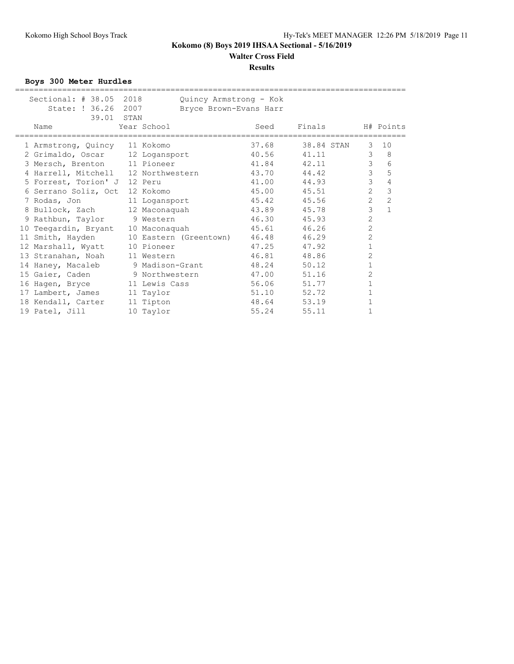#### **Results**

**Boys 300 Meter Hurdles**

| Sectional: $# 38.05$                | 2018 | Quincy Armstrong - Kok       |       |            |                |                |
|-------------------------------------|------|------------------------------|-------|------------|----------------|----------------|
| State: ! 36.26 2007                 |      | Bryce Brown-Evans Harr       |       |            |                |                |
| 39.01 STAN                          |      |                              |       |            |                |                |
| Name                                |      | Year School                  | Seed  | Finals     |                | H# Points      |
|                                     |      |                              |       |            |                |                |
| 1 Armstrong, Quincy 11 Kokomo       |      |                              | 37.68 | 38.84 STAN | 3              | 10             |
| 2 Grimaldo, Oscar 12 Logansport     |      |                              | 40.56 | 41.11      | 3              | 8              |
| 3 Mersch, Brenton 11 Pioneer        |      |                              | 41.84 | 42.11      | 3              | 6              |
| 4 Harrell, Mitchell 12 Northwestern |      |                              | 43.70 | 44.42      | 3              | 5              |
| 5 Forrest, Torion' J                |      | 12 Peru                      | 41.00 | 44.93      | $\mathcal{E}$  | 4              |
| 6 Serrano Soliz, Oct                |      | 12 Kokomo                    | 45.00 | 45.51      | $\overline{2}$ | 3              |
| 7 Rodas, Jon                        |      | 11 Logansport                | 45.42 | 45.56      | $\overline{2}$ | $\overline{c}$ |
| 8 Bullock, Zach                     |      | 12 Maconaquah                | 43.89 | 45.78      | 3              | $\mathbf{1}$   |
| 9 Rathbun, Taylor 9 Western         |      |                              | 46.30 | 45.93      | $\overline{c}$ |                |
| 10 Teegardin, Bryant                |      | 10 Maconaquah                | 45.61 | 46.26      | 2              |                |
| 11 Smith, Hayden                    |      | 10 Eastern (Greentown) 46.48 |       | 46.29      | 2              |                |
| 12 Marshall, Wyatt                  |      | 10 Pioneer                   | 47.25 | 47.92      | $\mathbf 1$    |                |
| 13 Stranahan, Noah                  |      | 11 Western                   | 46.81 | 48.86      | 2              |                |
| 14 Haney, Macaleb                   |      | 9 Madison-Grant              | 48.24 | 50.12      | $\mathbf 1$    |                |
| 15 Gaier, Caden                     |      | 9 Northwestern               | 47.00 | 51.16      | 2              |                |
| 16 Hagen, Bryce 11 Lewis Cass       |      |                              | 56.06 | 51.77      | 1              |                |
| 17 Lambert, James                   |      | 11 Taylor                    | 51.10 | 52.72      | 1              |                |
| 18 Kendall, Carter                  |      | 11 Tipton                    | 48.64 | 53.19      | 1              |                |
| 19 Patel, Jill                      |      | 10 Taylor                    | 55.24 | 55.11      | 1              |                |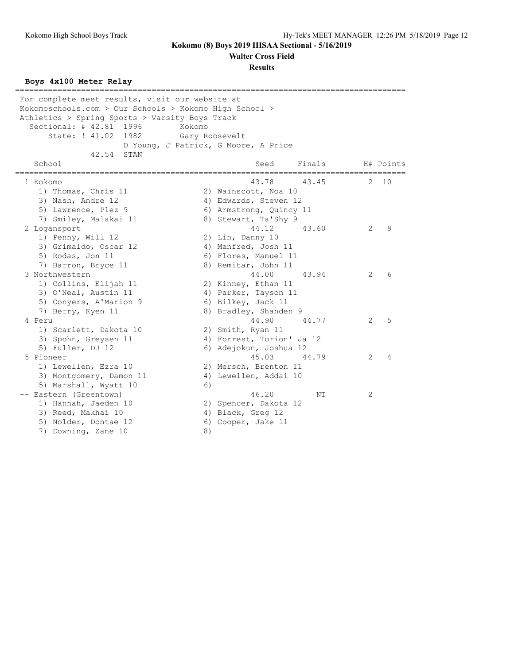**Walter Cross Field**

**Results**

#### **Boys 4x100 Meter Relay**

=================================================================================== For complete meet results, visit our website at Kokomoschools.com > Our Schools > Kokomo High School > Athletics > Spring Sports > Varsity Boys Track Sectional: # 42.81 1996 Kokomo State: ! 41.02 1982 Gary Roosevelt D Young, J Patrick, G Moore, A Price 42.54 STAN School School Seed Finals H# Points =================================================================================== 1 Kokomo 43.78 43.45 2 10 1) Thomas, Chris 11 2) Wainscott, Noa 10 3) Nash, Andre 12 4) Edwards, Steven 12 5) Lawrence, Plez 9 6) Armstrong, Quincy 11 7) Smiley, Malakai 11 8) Stewart, Ta'Shy 9 2 Logansport 44.12 43.60 2 8 1) Penny, Will 12 2) Lin, Danny 10 3) Grimaldo, Oscar 12 (and All Manfred, Josh 11 5) Rodas, Jon 11 6) Flores, Manuel 11 7) Barron, Bryce 11 8) Remitar, John 11 3 Northwestern 44.00 43.94 2 6 1) Collins, Elijah 11 2) Kinney, Ethan 11 3) O'Neal, Austin 11 (4) Parker, Tayson 11 5) Conyers, A'Marion 9 (6) Bilkey, Jack 11 7) Berry, Kyen 11 8) Bradley, Shanden 9 4 Peru 2 5 1) Scarlett, Dakota 10 2) Smith, Ryan 11 3) Spohn, Greysen 11 4) Forrest, Torion' Ja 12 5) Fuller, DJ 12 6) Adejokun, Joshua 12 5 Pioneer 45.03 44.79 2 4 1) Lewellen, Ezra 10 2) Mersch, Brenton 11 3) Montgomery, Damon 11 4) Lewellen, Addai 10 5) Marshall, Wyatt 10 6) -- Eastern (Greentown) 46.20 NT 2 1) Hannah, Jaeden 10 2) Spencer, Dakota 12 3) Reed, Makhai 10 4) Black, Greg 12 5) Nolder, Dontae 12 (6) Cooper, Jake 11 7) Downing, Zane 10 8)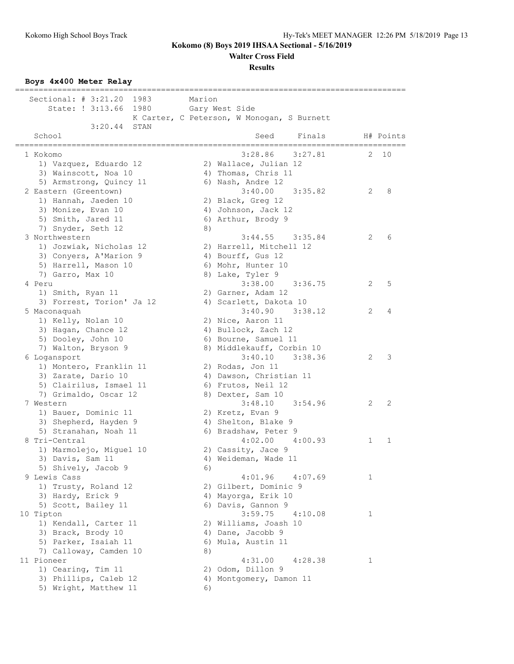**Walter Cross Field**

#### **Results**

**Boys 4x400 Meter Relay**

| Sectional: $\#$ 3:21.20<br>1983          | Marion                                        |              |
|------------------------------------------|-----------------------------------------------|--------------|
| State: ! 3:13.66                         | 1980 Gary West Side                           |              |
|                                          | K Carter, C Peterson, W Monogan, S Burnett    |              |
| 3:20.44<br>STAN<br>School                | Seed<br>Finals<br>H# Points                   |              |
|                                          | ==================================            |              |
| 1 Kokomo                                 | 3:28.86<br>3:27.81<br>2                       | 10           |
| 1) Vazquez, Eduardo 12                   | 2) Wallace, Julian 12                         |              |
| 3) Wainscott, Noa 10                     | 4) Thomas, Chris 11                           |              |
| 5) Armstrong, Quincy 11                  | 6) Nash, Andre 12                             |              |
| 2 Eastern (Greentown)                    | 3:40.00<br>3:35.82<br>2                       | 8            |
| 1) Hannah, Jaeden 10                     | 2) Black, Greg 12                             |              |
| 3) Monize, Evan 10<br>5) Smith, Jared 11 | 4) Johnson, Jack 12<br>6) Arthur, Brody 9     |              |
| 7) Snyder, Seth 12                       | 8)                                            |              |
| 3 Northwestern                           | 3:35.84<br>2<br>3:44.55                       | 6            |
| 1) Jozwiak, Nicholas 12                  | 2) Harrell, Mitchell 12                       |              |
| 3) Conyers, A'Marion 9                   | 4) Bourff, Gus 12                             |              |
| 5) Harrell, Mason 10                     | 6) Mohr, Hunter 10                            |              |
| 7) Garro, Max 10                         | 8) Lake, Tyler 9                              |              |
| 4 Peru                                   | 3:38.00<br>3:36.75<br>2                       | 5            |
| 1) Smith, Ryan 11                        | 2) Garner, Adam 12                            |              |
| 3) Forrest, Torion' Ja 12                | 4) Scarlett, Dakota 10                        |              |
| 5 Maconaquah                             | 3:40.90<br>3:38.12<br>2                       | 4            |
| 1) Kelly, Nolan 10                       | 2) Nice, Aaron 11                             |              |
| 3) Hagan, Chance 12                      | 4) Bullock, Zach 12                           |              |
| 5) Dooley, John 10                       | 6) Bourne, Samuel 11                          |              |
| 7) Walton, Bryson 9                      | 8) Middlekauff, Corbin 10                     |              |
| 6 Logansport                             | 3:40.10<br>3:38.36<br>2                       | 3            |
| 1) Montero, Franklin 11                  | 2) Rodas, Jon 11                              |              |
| 3) Zarate, Dario 10                      | 4) Dawson, Christian 11                       |              |
| 5) Clairilus, Ismael 11                  | 6) Frutos, Neil 12                            |              |
| 7) Grimaldo, Oscar 12                    | 8) Dexter, Sam 10                             |              |
| 7 Western                                | $3:48.10$ $3:54.96$<br>2                      | 2            |
| 1) Bauer, Dominic 11                     | 2) Kretz, Evan 9                              |              |
| 3) Shepherd, Hayden 9                    | 4) Shelton, Blake 9                           |              |
| 5) Stranahan, Noah 11                    | 6) Bradshaw, Peter 9                          |              |
| 8 Tri-Central                            | 4:02.00<br>4:00.93<br>1                       | $\mathbf{1}$ |
| 1) Marmolejo, Miguel 10                  | 2) Cassity, Jace 9                            |              |
| 3) Davis, Sam 11                         | 4) Weideman, Wade 11                          |              |
| 5) Shively, Jacob 9                      | 6)                                            |              |
| 9 Lewis Cass                             | 4:01.96<br>4:07.69<br>1                       |              |
| 1) Trusty, Roland 12                     | 2) Gilbert, Dominic 9                         |              |
| 3) Hardy, Erick 9                        | 4) Mayorga, Erik 10                           |              |
| 5) Scott, Bailey 11<br>10 Tipton         | 6) Davis, Gannon 9<br>3:59.75<br>4:10.08<br>1 |              |
| 1) Kendall, Carter 11                    | 2) Williams, Joash 10                         |              |
| 3) Brack, Brody 10                       | 4) Dane, Jacobb 9                             |              |
| 5) Parker, Isaiah 11                     | 6) Mula, Austin 11                            |              |
| 7) Calloway, Camden 10                   | 8)                                            |              |
| 11 Pioneer                               | 4:31.00<br>4:28.38<br>1                       |              |
| 1) Cearing, Tim 11                       | 2) Odom, Dillon 9                             |              |
| 3) Phillips, Caleb 12                    | 4) Montgomery, Damon 11                       |              |
| 5) Wright, Matthew 11                    | 6)                                            |              |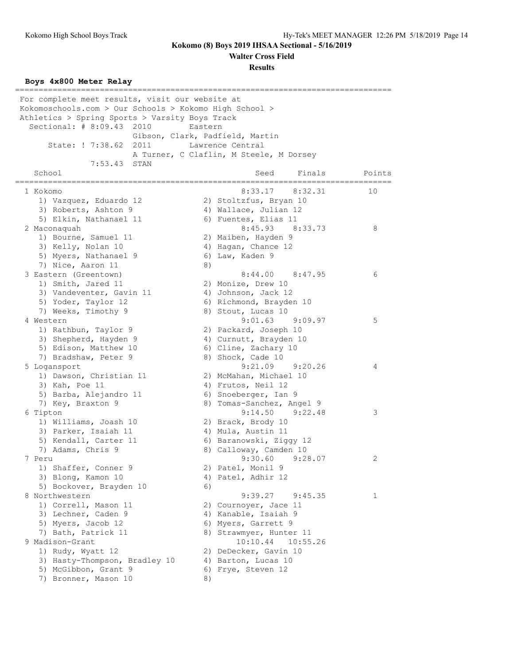**Walter Cross Field**

**Results**

#### **Boys 4x800 Meter Relay**

================================================================================ For complete meet results, visit our website at Kokomoschools.com > Our Schools > Kokomo High School > Athletics > Spring Sports > Varsity Boys Track Sectional: # 8:09.43 2010 Eastern Gibson, Clark, Padfield, Martin State: ! 7:38.62 2011 Lawrence Central A Turner, C Claflin, M Steele, M Dorsey 7:53.43 STAN School Seed Finals Points ================================================================================ 1 Kokomo 8:33.17 8:32.31 10 1) Vazquez, Eduardo 12 2) Stoltzfus, Bryan 10 3) Roberts, Ashton 9 4) Wallace, Julian 12 5) Elkin, Nathanael 11 (6) Fuentes, Elias 11 2 Maconaquah 8:45.93 8:33.73 8 1) Bourne, Samuel 11 and 2) Maiben, Hayden 9 3) Kelly, Nolan 10 4) Hagan, Chance 12 5) Myers, Nathanael 9 6) Law, Kaden 9 7) Nice, Aaron 11 8) 3 Eastern (Greentown) 8:44.00 8:47.95 6 1) Smith, Jared 11 2) Monize, Drew 10 3) Vandeventer, Gavin 11 (4) Johnson, Jack 12 5) Yoder, Taylor 12 (6) Richmond, Brayden 10 7) Weeks, Timothy 9 8) Stout, Lucas 10 4 Western 9:01.63 9:09.97 5 1) Rathbun, Taylor 9 2) Packard, Joseph 10 3) Shepherd, Hayden 9 4) Curnutt, Brayden 10 5) Edison, Matthew 10 6) Cline, Zachary 10 7) Bradshaw, Peter 9 8) Shock, Cade 10 5 Logansport 9:21.09 9:20.26 4 1) Dawson, Christian 11 2) McMahan, Michael 10 3) Kah, Poe 11 (4) Frutos, Neil 12 5) Barba, Alejandro 11 (6) Snoeberger, Ian 9 7) Key, Braxton 9 8) Tomas-Sanchez, Angel 9 6 Tipton 9:14.50 9:22.48 3 1) Williams, Joash 10 2) Brack, Brody 10 3) Parker, Isaiah 11 4) Mula, Austin 11 5) Kendall, Carter 11 6) Baranowski, Ziggy 12 7) Adams, Chris 9 8) Calloway, Camden 10 7 Peru 9:30.60 9:28.07 2 1) Shaffer, Conner 9 2) Patel, Monil 9 3) Blong, Kamon 10 4) Patel, Adhir 12 5) Bockover, Brayden 10 6) 8 Northwestern 9:39.27 9:45.35 1 1) Correll, Mason 11 2) Cournoyer, Jace 11 3) Lechner, Caden 9 19 10 4) Kanable, Isaiah 9 5) Myers, Jacob 12 6) Myers, Garrett 9 7) Bath, Patrick 11 and 8) Strawmyer, Hunter 11 9 Madison-Grant 10:10.44 10:55.26 1) Rudy, Wyatt 12 2) DeDecker, Gavin 10 3) Hasty-Thompson, Bradley 10 4) Barton, Lucas 10 5) McGibbon, Grant 9 6) Frye, Steven 12 7) Bronner, Mason 10 8)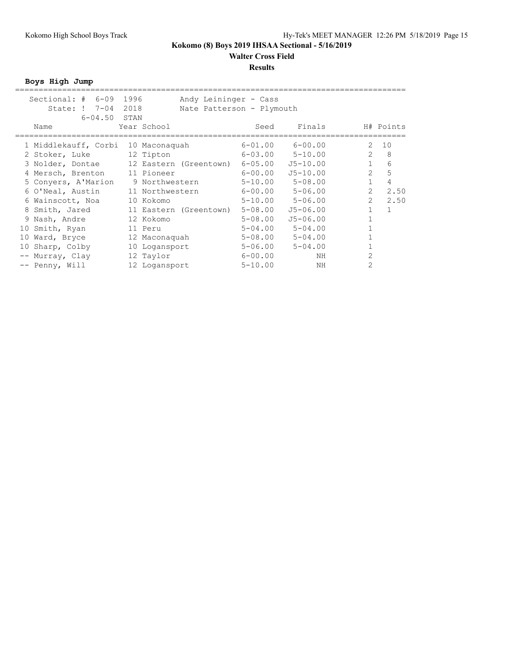#### **Results**

**Boys High Jump**

|    | Sectional: $\#$ 6-09         | 1996 | Andy Leininger - Cass          |             |                         |                              |  |
|----|------------------------------|------|--------------------------------|-------------|-------------------------|------------------------------|--|
|    | State: ! 7-04                | 2018 | Nate Patterson - Plymouth      |             |                         |                              |  |
|    | $6 - 04.50$                  | STAN |                                |             |                         |                              |  |
|    | Name                         |      | Year School                    | Seed        | Finals                  | H# Points                    |  |
|    |                              |      |                                |             |                         |                              |  |
|    | 1 Middlekauff, Corbi         |      | 10 Maconaquah                  | $6 - 01.00$ | $6 - 00.00$             | $\mathbf{2}$<br>10           |  |
|    | 2 Stoker, Luke               |      | 12 Tipton                      | 6-03.00     | $5 - 10.00$             | $\overline{2}$<br>8          |  |
|    | 3 Nolder, Dontae             |      | 12 Eastern (Greentown) 6-05.00 |             | $J5 - 10.00$            | $\mathbf{1}$<br>6            |  |
|    | 4 Mersch, Brenton 11 Pioneer |      |                                | 6-00.00     | $J5 - 10.00$            | $\overline{2}$<br>5          |  |
|    | 5 Conyers, A'Marion          |      | 9 Northwestern                 | 5-10.00     | $5 - 08.00$             | $\mathbf{1}$<br>4            |  |
|    | 6 O'Neal, Austin             |      | 11 Northwestern                |             | $6 - 00.00$ $5 - 06.00$ | $\overline{2}$<br>2.50       |  |
|    | 6 Wainscott, Noa             |      | 10 Kokomo                      | $5 - 10.00$ | $5 - 06.00$             | $\overline{2}$<br>2.50       |  |
|    | 8 Smith, Jared               |      | 11 Eastern (Greentown)         | $5 - 08.00$ | $J5 - 06.00$            | $\mathbf{1}$<br>$\mathbf{1}$ |  |
|    | 9 Nash, Andre                |      | 12 Kokomo                      | $5 - 08.00$ | $J5 - 06.00$            |                              |  |
|    | 10 Smith, Ryan               |      | 11 Peru                        | $5 - 04.00$ | $5 - 04.00$             |                              |  |
| 10 | Ward, Bryce                  |      | 12 Maconaquah                  | $5 - 08.00$ | $5 - 04.00$             |                              |  |
|    | 10 Sharp, Colby              |      | 10 Logansport                  | $5 - 06.00$ | $5 - 04.00$             |                              |  |
|    | -- Murray, Clay              |      | 12 Taylor                      | $6 - 00.00$ | NH                      | $\overline{2}$               |  |
|    | -- Penny, Will               |      | 12 Logansport                  | $5 - 10.00$ | ΝH                      | $\overline{2}$               |  |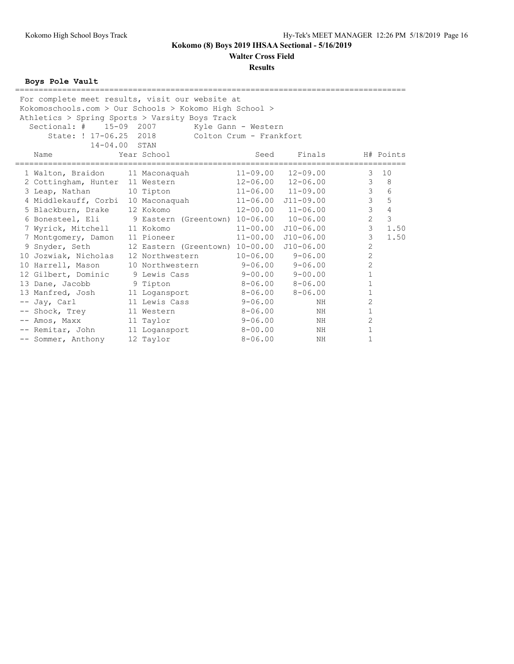**Walter Cross Field**

#### **Results**

**Boys Pole Vault**

| For complete meet results, visit our website at<br>Kokomoschools.com > Our Schools > Kokomo High School ><br>Athletics > Spring Sports > Varsity Boys Track<br>15-09 2007<br>Sectional: #<br>State: ! 17-06.25 2018<br>14-04.00 STAN |                                         | Kyle Gann - Western<br>Colton Crum - Frankfort |                            |                          |                |
|--------------------------------------------------------------------------------------------------------------------------------------------------------------------------------------------------------------------------------------|-----------------------------------------|------------------------------------------------|----------------------------|--------------------------|----------------|
| Name                                                                                                                                                                                                                                 | Year School                             | Seed                                           | Finals                     |                          | H# Points      |
| 1 Walton, Braidon 11 Maconaquah                                                                                                                                                                                                      |                                         | ===========<br>$11 - 09.00$                    | $12 - 09.00$               | ===================<br>3 | 10             |
| 2 Cottingham, Hunter 11 Western                                                                                                                                                                                                      |                                         |                                                | $12 - 06.00$ $12 - 06.00$  | 3                        | 8              |
| 3 Leap, Nathan                                                                                                                                                                                                                       | 10 Tipton                               |                                                | $11 - 06.00$ $11 - 09.00$  | 3                        | 6              |
| 4 Middlekauff, Corbi 10 Maconaquah                                                                                                                                                                                                   |                                         |                                                | $11 - 06.00$ $J11 - 09.00$ | 3                        | 5              |
| 5 Blackburn, Drake 12 Kokomo                                                                                                                                                                                                         |                                         |                                                | $12 - 00.00$ $11 - 06.00$  | 3                        | $\overline{4}$ |
| 6 Bonesteel, Eli                                                                                                                                                                                                                     | 9 Eastern (Greentown) 10-06.00 10-06.00 |                                                |                            | $\overline{c}$           | $\mathfrak{Z}$ |
| 7 Wyrick, Mitchell 11 Kokomo                                                                                                                                                                                                         |                                         | $11 - 00.00$                                   | J10-06.00                  | 3                        | 1.50           |
| 7 Montgomery, Damon 11 Pioneer                                                                                                                                                                                                       |                                         | $11 - 00.00$                                   | $J10 - 06.00$              | 3                        | 1.50           |
| 9 Snyder, Seth                                                                                                                                                                                                                       | 12 Eastern (Greentown) 10-00.00         |                                                | $J10-06.00$                | $\overline{2}$           |                |
| 10 Jozwiak, Nicholas 12 Northwestern                                                                                                                                                                                                 |                                         | $10 - 06.00$                                   | $9 - 06.00$                | $\overline{2}$           |                |
| 10 Harrell, Mason                                                                                                                                                                                                                    | 10 Northwestern                         | $9 - 06.00$                                    | $9 - 06.00$                | $\overline{2}$           |                |
| 12 Gilbert, Dominic 9 Lewis Cass                                                                                                                                                                                                     |                                         |                                                | $9 - 00.00$ $9 - 00.00$    | $\mathbf 1$              |                |
| 13 Dane, Jacobb                                                                                                                                                                                                                      | 9 Tipton                                |                                                | $8 - 06.00$ $8 - 06.00$    | 1                        |                |
| 13 Manfred, Josh                                                                                                                                                                                                                     | 11 Logansport                           | $8 - 06.00$                                    | $8 - 06.00$                | $\mathbf{1}$             |                |
| -- Jay, Carl                                                                                                                                                                                                                         | 11 Lewis Cass                           | 9-06.00                                        | NH                         | 2                        |                |
| -- Shock, Trey                                                                                                                                                                                                                       | 11 Western                              | $8 - 06.00$                                    | ΝH                         | 1                        |                |
| -- Amos, Maxx                                                                                                                                                                                                                        | 11 Taylor                               | $9 - 06.00$                                    | NH                         | 2                        |                |
| -- Remitar, John                                                                                                                                                                                                                     | 11 Logansport                           | $8 - 00.00$                                    | ΝH                         | $\mathbf{1}$             |                |
| -- Sommer, Anthony                                                                                                                                                                                                                   | 12 Taylor                               | $8 - 06.00$                                    | NH                         | 1                        |                |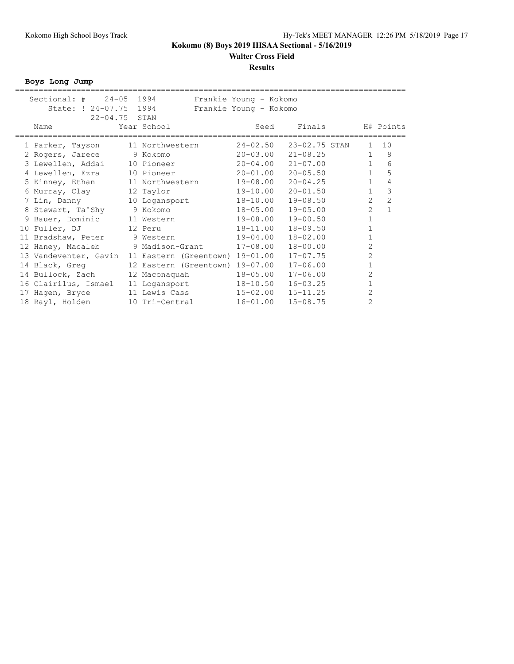#### **Results**

**Boys Long Jump**

|                 | Sectional: # 24-05 1994<br>State: ! 24-07.75 1994<br>22-04.75 STAN |                                    | Frankie Young - Kokomo<br>Frankie Young - Kokomo |      |               |                |                |
|-----------------|--------------------------------------------------------------------|------------------------------------|--------------------------------------------------|------|---------------|----------------|----------------|
| Name            |                                                                    | Year School                        |                                                  | Seed | Finals        |                | H# Points      |
|                 | 1 Parker, Tayson                                                   | 11 Northwestern                    | $24 - 02.50$                                     |      | 23-02.75 STAN | $\mathbf{1}$   | 10             |
|                 | 2 Rogers, Jarece 9 Kokomo                                          |                                    | $20 - 03.00$                                     |      | $21 - 08.25$  | $\mathbf{1}$   | 8              |
|                 | 3 Lewellen, Addai 10 Pioneer                                       |                                    | $20 - 04.00$                                     |      | $21 - 07.00$  | $\mathbf{1}$   | 6              |
|                 | 4 Lewellen, Ezra                                                   | 10 Pioneer                         | $20 - 01.00$                                     |      | $20 - 05.50$  | $\mathbf{1}$   | 5              |
|                 | 5 Kinney, Ethan 11 Northwestern                                    |                                    | 19-08.00                                         |      | $20 - 04.25$  | $\mathbf{1}$   | 4              |
| 6 Murray, Clay  |                                                                    | 12 Taylor                          | 19-10.00                                         |      | $20 - 01.50$  | $\mathbf{1}$   | $\mathcal{S}$  |
| 7 Lin, Danny    |                                                                    | 10 Logansport                      | 18-10.00                                         |      | $19 - 08.50$  | $\overline{2}$ | $\overline{c}$ |
|                 | 8 Stewart, Ta'Shy                                                  | 9 Kokomo                           | $18 - 05.00$                                     |      | $19 - 05.00$  | $\overline{2}$ | $1\,$          |
|                 | 9 Bauer, Dominic 11 Western                                        |                                    | 19-08.00                                         |      | $19 - 00.50$  | $\mathbf{1}$   |                |
| 10 Fuller, DJ   |                                                                    | 12 Peru                            | $18 - 11.00$                                     |      | $18 - 09.50$  | 1              |                |
|                 | 11 Bradshaw, Peter                                                 | 9 Western                          | 19-04.00                                         |      | $18 - 02.00$  | $\mathbf{1}$   |                |
|                 | 12 Haney, Macaleb                                                  | 9 Madison-Grant                    | $17 - 08.00$                                     |      | $18 - 00.00$  | $\overline{2}$ |                |
|                 | 13 Vandeventer, Gavin                                              | 11 Eastern (Greentown) 19-01.00    |                                                  |      | $17 - 07.75$  | $\overline{2}$ |                |
|                 | 14 Black, Greq                                                     | 12 Eastern (Greentown) 19-07.00    |                                                  |      | $17 - 06.00$  | $\mathbf{1}$   |                |
|                 | 14 Bullock, Zach 12 Maconaquah                                     |                                    | $18 - 05.00$                                     |      | $17 - 06.00$  | $\overline{2}$ |                |
|                 |                                                                    | 16 Clairilus, Ismael 11 Logansport | $18 - 10.50$                                     |      | $16 - 03.25$  | $\mathbf{1}$   |                |
| 17 Hagen, Bryce |                                                                    | 11 Lewis Cass                      | $15 - 02.00$                                     |      | $15 - 11.25$  | $\overline{2}$ |                |
| 18 Rayl, Holden |                                                                    | 10 Tri-Central                     | $16 - 01.00$                                     |      | $15 - 08.75$  | $\overline{2}$ |                |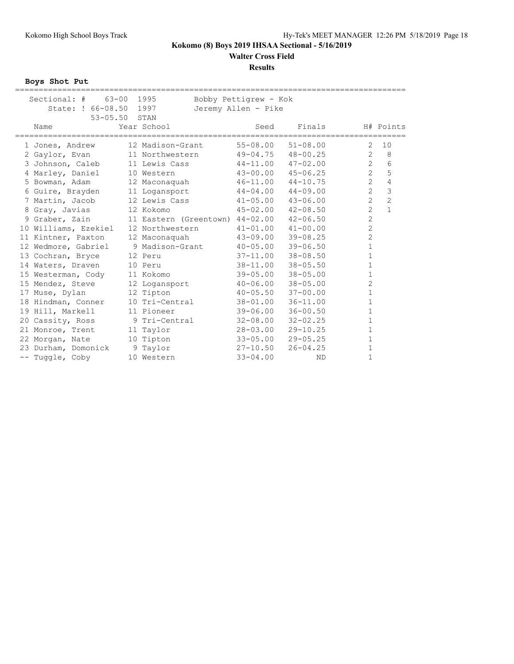# **Walter Cross Field**

### **Results**

**Boys Shot Put**

| $63 - 00$<br>Sectiona1:  #<br>State: ! 66-08.50<br>$53 - 05.50$ | 1995<br>1997<br>STAN            | Bobby Pettigrew - Kok<br>Jeremy Allen - Pike |              |                |                |
|-----------------------------------------------------------------|---------------------------------|----------------------------------------------|--------------|----------------|----------------|
| Name                                                            | Year School                     | Seed                                         | Finals       |                | H# Points      |
| 1 Jones, Andrew                                                 | 12 Madison-Grant                | $55 - 08.00$                                 | $51 - 08.00$ | 2              | 10             |
| 2 Gaylor, Evan                                                  | 11 Northwestern                 | $49 - 04.75$                                 | $48 - 00.25$ | $\overline{2}$ | 8              |
| 3 Johnson, Caleb                                                | 11 Lewis Cass                   | $44 - 11.00$                                 | $47 - 02.00$ | $\overline{2}$ | 6              |
| 4 Marley, Daniel                                                | 10 Western                      | $43 - 00.00$                                 | $45 - 06.25$ | $\overline{2}$ | 5              |
| 5 Bowman, Adam                                                  | 12 Maconaquah                   | $46 - 11.00$                                 | $44 - 10.75$ | 2              | $\overline{4}$ |
| 6 Guire, Brayden                                                | 11 Logansport                   | $44 - 04.00$                                 | $44 - 09.00$ | $\overline{c}$ | 3              |
| 7 Martin, Jacob                                                 | 12 Lewis Cass                   | $41 - 05.00$                                 | $43 - 06.00$ | $\overline{2}$ | $\overline{c}$ |
| 8 Gray, Javias                                                  | 12 Kokomo                       | $45 - 02.00$                                 | $42 - 08.50$ | $\overline{2}$ | $\mathbf{1}$   |
| 9 Graber, Zain                                                  | 11 Eastern (Greentown) 44-02.00 |                                              | $42 - 06.50$ | $\overline{2}$ |                |
| 10 Williams, Ezekiel                                            | 12 Northwestern                 | $41 - 01.00$                                 | $41 - 00.00$ | $\overline{c}$ |                |
| 11 Kintner, Paxton                                              | 12 Maconaquah                   | $43 - 09.00$                                 | $39 - 08.25$ | $\overline{2}$ |                |
| 12 Wedmore, Gabriel                                             | 9 Madison-Grant                 | $40 - 05.00$                                 | $39 - 06.50$ | $\mathbf{1}$   |                |
| 13 Cochran, Bryce                                               | 12 Peru                         | $37 - 11.00$                                 | $38 - 08.50$ | $\mathbf{1}$   |                |
| 14 Waters, Draven                                               | 10 Peru                         | $38 - 11.00$                                 | $38 - 05.50$ | $\mathbf{1}$   |                |
| 15 Westerman, Cody                                              | 11 Kokomo                       | $39 - 05.00$                                 | $38 - 05.00$ | $\mathbf 1$    |                |
| 15 Mendez, Steve                                                | 12 Logansport                   | $40 - 06.00$                                 | $38 - 05.00$ | $\overline{c}$ |                |
| 17 Muse, Dylan                                                  | 12 Tipton                       | $40 - 05.50$                                 | $37 - 00.00$ | $\mathbf 1$    |                |
| 18 Hindman, Conner                                              | 10 Tri-Central                  | $38 - 01.00$                                 | $36 - 11.00$ | $\mathbf{1}$   |                |
| 19 Hill, Markell                                                | 11 Pioneer                      | $39 - 06.00$                                 | $36 - 00.50$ | $\mathbf 1$    |                |
| 20 Cassity, Ross                                                | 9 Tri-Central                   | $32 - 08.00$                                 | $32 - 02.25$ | $\mathbf 1$    |                |
| 21 Monroe, Trent                                                | 11 Taylor                       | $28 - 03.00$                                 | $29 - 10.25$ | $\mathbf{1}$   |                |
| 22 Morgan, Nate                                                 | 10 Tipton                       | $33 - 05.00$                                 | $29 - 05.25$ | $\mathbf 1$    |                |
| 23 Durham, Domonick                                             | 9 Taylor                        | $27 - 10.50$                                 | $26 - 04.25$ | $\mathbf{1}$   |                |
| -- Tuggle, Coby                                                 | 10 Western                      | $33 - 04.00$                                 | <b>ND</b>    | $\mathbf 1$    |                |
|                                                                 |                                 |                                              |              |                |                |